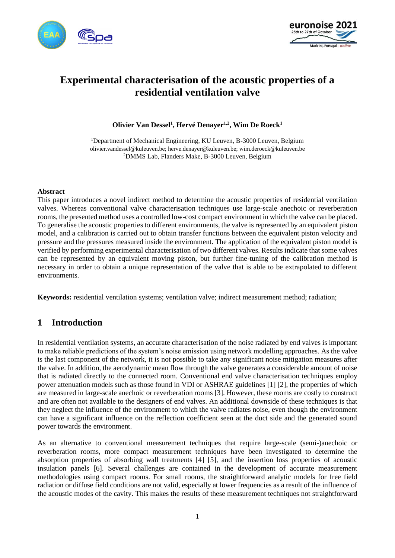



# **Experimental characterisation of the acoustic properties of a residential ventilation valve**

**Olivier Van Dessel<sup>1</sup> , Hervé Denayer1,2 , Wim De Roeck<sup>1</sup>**

<sup>1</sup>Department of Mechanical Engineering, KU Leuven, B-3000 Leuven, Belgium olivier.vandessel@kuleuven.be; herve.denayer@kuleuven.be; wim.deroeck@kuleuven.be <sup>2</sup>DMMS Lab, Flanders Make, B-3000 Leuven, Belgium

### **Abstract**

This paper introduces a novel indirect method to determine the acoustic properties of residential ventilation valves. Whereas conventional valve characterisation techniques use large-scale anechoic or reverberation rooms, the presented method uses a controlled low-cost compact environment in which the valve can be placed. To generalise the acoustic properties to different environments, the valve is represented by an equivalent piston model, and a calibration is carried out to obtain transfer functions between the equivalent piston velocity and pressure and the pressures measured inside the environment. The application of the equivalent piston model is verified by performing experimental characterisation of two different valves. Results indicate that some valves can be represented by an equivalent moving piston, but further fine-tuning of the calibration method is necessary in order to obtain a unique representation of the valve that is able to be extrapolated to different environments.

**Keywords:** residential ventilation systems; ventilation valve; indirect measurement method; radiation;

# **1 Introduction**

In residential ventilation systems, an accurate characterisation of the noise radiated by end valves is important to make reliable predictions of the system's noise emission using network modelling approaches. As the valve is the last component of the network, it is not possible to take any significant noise mitigation measures after the valve. In addition, the aerodynamic mean flow through the valve generates a considerable amount of noise that is radiated directly to the connected room. Conventional end valve characterisation techniques employ power attenuation models such as those found in VDI or ASHRAE guidelines [1] [2], the properties of which are measured in large-scale anechoic or reverberation rooms [3]. However, these rooms are costly to construct and are often not available to the designers of end valves. An additional downside of these techniques is that they neglect the influence of the environment to which the valve radiates noise, even though the environment can have a significant influence on the reflection coefficient seen at the duct side and the generated sound power towards the environment.

As an alternative to conventional measurement techniques that require large-scale (semi-)anechoic or reverberation rooms, more compact measurement techniques have been investigated to determine the absorption properties of absorbing wall treatments [4] [5], and the insertion loss properties of acoustic insulation panels [6]. Several challenges are contained in the development of accurate measurement methodologies using compact rooms. For small rooms, the straightforward analytic models for free field radiation or diffuse field conditions are not valid, especially at lower frequencies as a result of the influence of the acoustic modes of the cavity. This makes the results of these measurement techniques not straightforward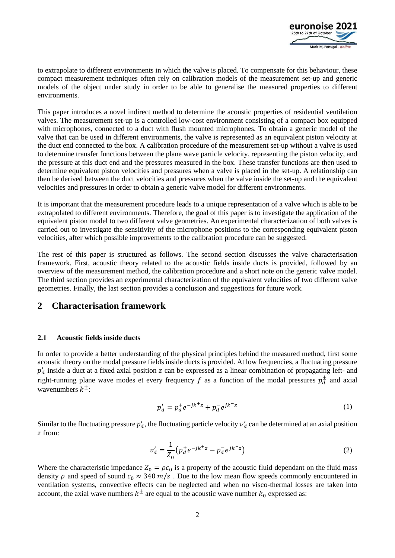

to extrapolate to different environments in which the valve is placed. To compensate for this behaviour, these compact measurement techniques often rely on calibration models of the measurement set-up and generic models of the object under study in order to be able to generalise the measured properties to different environments.

This paper introduces a novel indirect method to determine the acoustic properties of residential ventilation valves. The measurement set-up is a controlled low-cost environment consisting of a compact box equipped with microphones, connected to a duct with flush mounted microphones. To obtain a generic model of the valve that can be used in different environments, the valve is represented as an equivalent piston velocity at the duct end connected to the box. A calibration procedure of the measurement set-up without a valve is used to determine transfer functions between the plane wave particle velocity, representing the piston velocity, and the pressure at this duct end and the pressures measured in the box. These transfer functions are then used to determine equivalent piston velocities and pressures when a valve is placed in the set-up. A relationship can then be derived between the duct velocities and pressures when the valve inside the set-up and the equivalent velocities and pressures in order to obtain a generic valve model for different environments.

It is important that the measurement procedure leads to a unique representation of a valve which is able to be extrapolated to different environments. Therefore, the goal of this paper is to investigate the application of the equivalent piston model to two different valve geometries. An experimental characterization of both valves is carried out to investigate the sensitivity of the microphone positions to the corresponding equivalent piston velocities, after which possible improvements to the calibration procedure can be suggested.

The rest of this paper is structured as follows. The second section discusses the valve characterisation framework. First, acoustic theory related to the acoustic fields inside ducts is provided, followed by an overview of the measurement method, the calibration procedure and a short note on the generic valve model. The third section provides an experimental characterization of the equivalent velocities of two different valve geometries. Finally, the last section provides a conclusion and suggestions for future work.

### **2 Characterisation framework**

### **2.1 Acoustic fields inside ducts**

In order to provide a better understanding of the physical principles behind the measured method, first some acoustic theory on the modal pressure fields inside ducts is provided. At low frequencies, a fluctuating pressure  $p'_d$  inside a duct at a fixed axial position z can be expressed as a linear combination of propagating left- and right-running plane wave modes et every frequency f as a function of the modal pressures  $p_d^{\pm}$  and axial wavenumbers  $k^{\pm}$ :

$$
p'_d = p_d^+ e^{-jk^+ z} + p_d^- e^{jk^- z} \tag{1}
$$

Similar to the fluctuating pressure  $p'_d$ , the fluctuating particle velocity  $v'_d$  can be determined at an axial position z from:

$$
v'_d = \frac{1}{Z_0} \left( p_d^+ e^{-jk^+ z} - p_d^- e^{jk^- z} \right)
$$
 (2)

Where the characteristic impedance  $Z_0 = \rho c_0$  is a property of the acoustic fluid dependant on the fluid mass density  $\rho$  and speed of sound  $c_0 \approx 340 \, m/s$ . Due to the low mean flow speeds commonly encountered in ventilation systems, convective effects can be neglected and when no visco-thermal losses are taken into account, the axial wave numbers  $k^{\pm}$  are equal to the acoustic wave number  $k_0$  expressed as: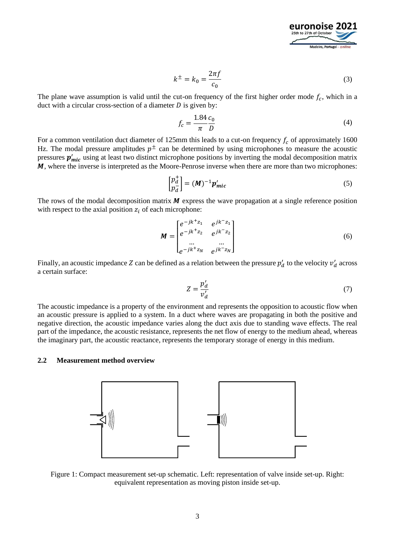

$$
k^{\pm} = k_0 = \frac{2\pi f}{c_0} \tag{3}
$$

The plane wave assumption is valid until the cut-on frequency of the first higher order mode  $f_c$ , which in a duct with a circular cross-section of a diameter  $D$  is given by:

$$
f_c = \frac{1.84 c_0}{\pi D} \tag{4}
$$

For a common ventilation duct diameter of 125mm this leads to a cut-on frequency  $f_c$  of approximately 1600 Hz. The modal pressure amplitudes  $p^{\pm}$  can be determined by using microphones to measure the acoustic pressures  $p'_{mic}$  using at least two distinct microphone positions by inverting the modal decomposition matrix M, where the inverse is interpreted as the Moore-Penrose inverse when there are more than two microphones:

$$
\begin{bmatrix} p_d^+ \\ p_d^- \end{bmatrix} = (M)^{-1} p'_{mic} \tag{5}
$$

The rows of the modal decomposition matrix  $M$  express the wave propagation at a single reference position with respect to the axial position  $z_i$  of each microphone:

$$
M = \begin{bmatrix} e^{-jk^2 z_1} & e^{jk^- z_1} \\ e^{-jk^+ z_2} & e^{jk^- z_2} \\ \dots & \dots & \dots \\ e^{-jk^+ z_N} & e^{jk^- z_N} \end{bmatrix}
$$
 (6)

Finally, an acoustic impedance Z can be defined as a relation between the pressure  $p'_d$  to the velocity  $v'_d$  across a certain surface:

$$
Z = \frac{p_d'}{v_d'}\tag{7}
$$

The acoustic impedance is a property of the environment and represents the opposition to acoustic flow when an acoustic pressure is applied to a system. In a duct where waves are propagating in both the positive and negative direction, the acoustic impedance varies along the duct axis due to standing wave effects. The real part of the impedance, the acoustic resistance, represents the net flow of energy to the medium ahead, whereas the imaginary part, the acoustic reactance, represents the temporary storage of energy in this medium.

#### **2.2 Measurement method overview**



<span id="page-2-0"></span>Figure 1: Compact measurement set-up schematic. Left: representation of valve inside set-up. Right: equivalent representation as moving piston inside set-up.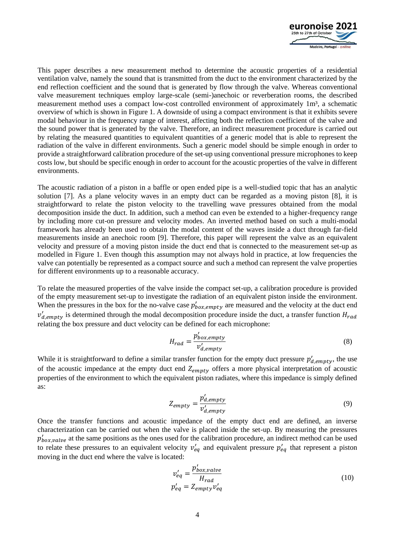

This paper describes a new measurement method to determine the acoustic properties of a residential ventilation valve, namely the sound that is transmitted from the duct to the environment characterized by the end reflection coefficient and the sound that is generated by flow through the valve. Whereas conventional valve measurement techniques employ large-scale (semi-)anechoic or reverberation rooms, the described measurement method uses a compact low-cost controlled environment of approximately 1m<sup>3</sup>, a schematic overview of which is shown in [Figure 1.](#page-2-0) A downside of using a compact environment is that it exhibits severe modal behaviour in the frequency range of interest, affecting both the reflection coefficient of the valve and the sound power that is generated by the valve. Therefore, an indirect measurement procedure is carried out by relating the measured quantities to equivalent quantities of a generic model that is able to represent the radiation of the valve in different environments. Such a generic model should be simple enough in order to provide a straightforward calibration procedure of the set-up using conventional pressure microphones to keep costs low, but should be specific enough in order to account for the acoustic properties of the valve in different environments.

The acoustic radiation of a piston in a baffle or open ended pipe is a well-studied topic that has an analytic solution [7]. As a plane velocity waves in an empty duct can be regarded as a moving piston [8], it is straightforward to relate the piston velocity to the travelling wave pressures obtained from the modal decomposition inside the duct. In addition, such a method can even be extended to a higher-frequency range by including more cut-on pressure and velocity modes. An inverted method based on such a multi-modal framework has already been used to obtain the modal content of the waves inside a duct through far-field measurements inside an anechoic room [9]. Therefore, this paper will represent the valve as an equivalent velocity and pressure of a moving piston inside the duct end that is connected to the measurement set-up as modelled in [Figure 1.](#page-2-0) Even though this assumption may not always hold in practice, at low frequencies the valve can potentially be represented as a compact source and such a method can represent the valve properties for different environments up to a reasonable accuracy.

To relate the measured properties of the valve inside the compact set-up, a calibration procedure is provided of the empty measurement set-up to investigate the radiation of an equivalent piston inside the environment. When the pressures in the box for the no-valve case  $p'_{box,empty}$  are measured and the velocity at the duct end  $v'_{d,empty}$  is determined through the modal decomposition procedure inside the duct, a transfer function  $H_{rad}$ relating the box pressure and duct velocity can be defined for each microphone:

$$
H_{rad} = \frac{p'_{box,empty}}{v'_{d,empty}}\tag{8}
$$

While it is straightforward to define a similar transfer function for the empty duct pressure  $p'_{d,empty}$ , the use of the acoustic impedance at the empty duct end  $Z_{empty}$  offers a more physical interpretation of acoustic properties of the environment to which the equivalent piston radiates, where this impedance is simply defined as:

$$
Z_{empty} = \frac{p'_{d,empty}}{v'_{d,empty}} \tag{9}
$$

Once the transfer functions and acoustic impedance of the empty duct end are defined, an inverse characterization can be carried out when the valve is placed inside the set-up. By measuring the pressures  $p'_{box, value}$  at the same positions as the ones used for the calibration procedure, an indirect method can be used to relate these pressures to an equivalent velocity  $v'_{eq}$  and equivalent pressure  $p'_{eq}$  that represent a piston moving in the duct end where the valve is located:

$$
\begin{aligned} v'_{eq} &= \frac{p'_{box, value}}{H_{rad}}\\ p'_{eq} &= Z_{empty} v'_{eq} \end{aligned} \tag{10}
$$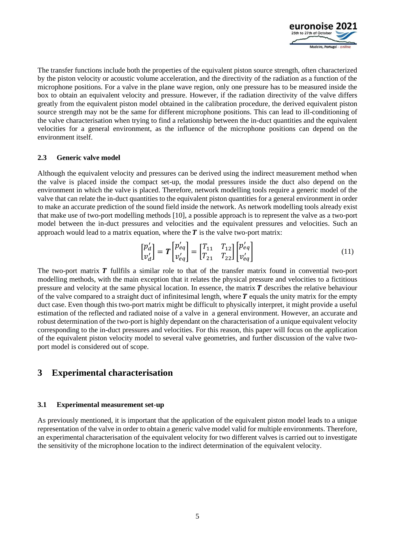

The transfer functions include both the properties of the equivalent piston source strength, often characterized by the piston velocity or acoustic volume acceleration, and the directivity of the radiation as a function of the microphone positions. For a valve in the plane wave region, only one pressure has to be measured inside the box to obtain an equivalent velocity and pressure. However, if the radiation directivity of the valve differs greatly from the equivalent piston model obtained in the calibration procedure, the derived equivalent piston source strength may not be the same for different microphone positions. This can lead to ill-conditioning of the valve characterisation when trying to find a relationship between the in-duct quantities and the equivalent velocities for a general environment, as the influence of the microphone positions can depend on the environment itself.

### **2.3 Generic valve model**

Although the equivalent velocity and pressures can be derived using the indirect measurement method when the valve is placed inside the compact set-up, the modal pressures inside the duct also depend on the environment in which the valve is placed. Therefore, network modelling tools require a generic model of the valve that can relate the in-duct quantities to the equivalent piston quantities for a general environment in order to make an accurate prediction of the sound field inside the network. As network modelling tools already exist that make use of two-port modelling methods [10], a possible approach is to represent the valve as a two-port model between the in-duct pressures and velocities and the equivalent pressures and velocities. Such an approach would lead to a matrix equation, where the  $\boldsymbol{T}$  is the valve two-port matrix:

$$
\begin{bmatrix} p'_d \\ v'_d \end{bmatrix} = \boldsymbol{T} \begin{bmatrix} p'_{eq} \\ v'_{eq} \end{bmatrix} = \begin{bmatrix} T_{11} & T_{12} \\ T_{21} & T_{22} \end{bmatrix} \begin{bmatrix} p'_{eq} \\ v'_{eq} \end{bmatrix} \tag{11}
$$

The two-port matrix  $\boldsymbol{T}$  fullfils a similar role to that of the transfer matrix found in convential two-port modelling methods, with the main exception that it relates the physical pressure and velocities to a fictitious pressure and velocity at the same physical location. In essence, the matrix  $\bm{T}$  describes the relative behaviour of the valve compared to a straight duct of infinitesimal length, where  $T$  equals the unity matrix for the empty duct case. Even though this two-port matrix might be difficult to physically interpret, it might provide a useful estimation of the reflected and radiated noise of a valve in a general environment. However, an accurate and robust determination of the two-port is highly dependant on the characterisation of a unique equivalent velocity corresponding to the in-duct pressures and velocities. For this reason, this paper will focus on the application of the equivalent piston velocity model to several valve geometries, and further discussion of the valve twoport model is considered out of scope.

### **3 Experimental characterisation**

### **3.1 Experimental measurement set-up**

As previously mentioned, it is important that the application of the equivalent piston model leads to a unique representation of the valve in order to obtain a generic valve model valid for multiple environments. Therefore, an experimental characterisation of the equivalent velocity for two different valves is carried out to investigate the sensitivity of the microphone location to the indirect determination of the equivalent velocity.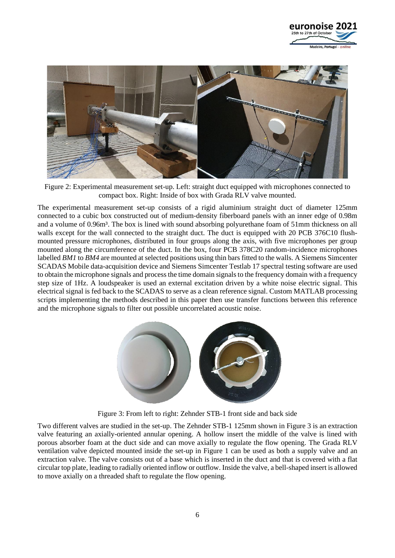



Figure 2: Experimental measurement set-up. Left: straight duct equipped with microphones connected to compact box. Right: Inside of box with Grada RLV valve mounted.

The experimental measurement set-up consists of a rigid aluminium straight duct of diameter 125mm connected to a cubic box constructed out of medium-density fiberboard panels with an inner edge of 0.98m and a volume of 0.96m<sup>3</sup>. The box is lined with sound absorbing polyurethane foam of 51mm thickness on all walls except for the wall connected to the straight duct. The duct is equipped with 20 PCB 376C10 flushmounted pressure microphones, distributed in four groups along the axis, with five microphones per group mounted along the circumference of the duct. In the box, four PCB 378C20 random-incidence microphones labelled *BM1* to *BM4* are mounted at selected positions using thin bars fitted to the walls. A Siemens Simcenter SCADAS Mobile data-acquisition device and Siemens Simcenter Testlab 17 spectral testing software are used to obtain the microphone signals and process the time domain signals to the frequency domain with a frequency step size of 1Hz. A loudspeaker is used an external excitation driven by a white noise electric signal. This electrical signal is fed back to the SCADAS to serve as a clean reference signal. Custom MATLAB processing scripts implementing the methods described in this paper then use transfer functions between this reference and the microphone signals to filter out possible uncorrelated acoustic noise.



Figure 3: From left to right: Zehnder STB-1 front side and back side

<span id="page-5-0"></span>Two different valves are studied in the set-up. The Zehnder STB-1 125mm shown in [Figure 3](#page-5-0) is an extraction valve featuring an axially-oriented annular opening. A hollow insert the middle of the valve is lined with porous absorber foam at the duct side and can move axially to regulate the flow opening. The Grada RLV ventilation valve depicted mounted inside the set-up in [Figure 1](#page-2-0) can be used as both a supply valve and an extraction valve. The valve consists out of a base which is inserted in the duct and that is covered with a flat circular top plate, leading to radially oriented inflow or outflow. Inside the valve, a bell-shaped insert is allowed to move axially on a threaded shaft to regulate the flow opening.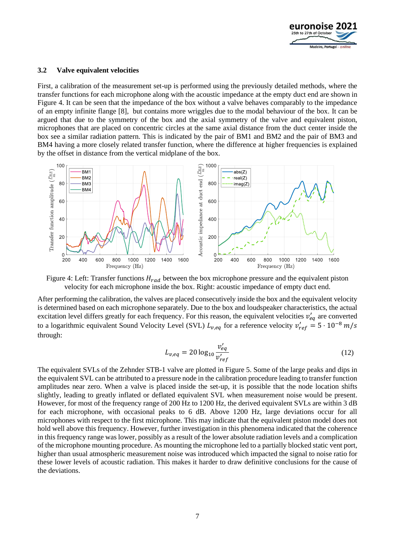

### **3.2 Valve equivalent velocities**

First, a calibration of the measurement set-up is performed using the previously detailed methods, where the transfer functions for each microphone along with the acoustic impedance at the empty duct end are shown in [Figure 4.](#page-6-0) It can be seen that the impedance of the box without a valve behaves comparably to the impedance of an empty infinite flange [8], but contains more wriggles due to the modal behaviour of the box. It can be argued that due to the symmetry of the box and the axial symmetry of the valve and equivalent piston, microphones that are placed on concentric circles at the same axial distance from the duct center inside the box see a similar radiation pattern. This is indicated by the pair of BM1 and BM2 and the pair of BM3 and BM4 having a more closely related transfer function, where the difference at higher frequencies is explained by the offset in distance from the vertical midplane of the box.



<span id="page-6-0"></span>Figure 4: Left: Transfer functions  $H_{rad}$  between the box microphone pressure and the equivalent piston velocity for each microphone inside the box. Right: acoustic impedance of empty duct end.

After performing the calibration, the valves are placed consecutively inside the box and the equivalent velocity is determined based on each microphone separately. Due to the box and loudspeaker characteristics, the actual excitation level differs greatly for each frequency. For this reason, the equivalent velocities  $v'_{eq}$  are converted to a logarithmic equivalent Sound Velocity Level (SVL)  $L_{v,eq}$  for a reference velocity  $v'_{ref} = 5 \cdot 10^{-8}$  m/s through:

$$
L_{v,eq} = 20 \log_{10} \frac{v'_{eq}}{v'_{ref}}
$$
 (12)

The equivalent SVLs of the Zehnder STB-1 valve are plotted in [Figure 5.](#page-7-0) Some of the large peaks and dips in the equivalent SVL can be attributed to a pressure node in the calibration procedure leading to transfer function amplitudes near zero. When a valve is placed inside the set-up, it is possible that the node location shifts slightly, leading to greatly inflated or deflated equivalent SVL when measurement noise would be present. However, for most of the frequency range of 200 Hz to 1200 Hz, the derived equivalent SVLs are within 3 dB for each microphone, with occasional peaks to 6 dB. Above 1200 Hz, large deviations occur for all microphones with respect to the first microphone. This may indicate that the equivalent piston model does not hold well above this frequency. However, further investigation in this phenomena indicated that the coherence in this frequency range was lower, possibly as a result of the lower absolute radiation levels and a complication of the microphone mounting procedure. As mounting the microphone led to a partially blocked static vent port, higher than usual atmospheric measurement noise was introduced which impacted the signal to noise ratio for these lower levels of acoustic radiation. This makes it harder to draw definitive conclusions for the cause of the deviations.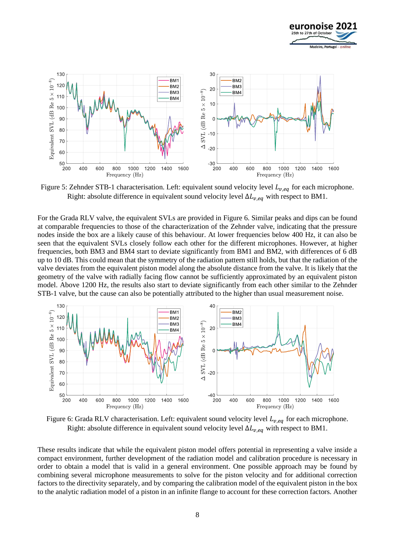



<span id="page-7-0"></span>Figure 5: Zehnder STB-1 characterisation. Left: equivalent sound velocity level  $L_{v,eq}$  for each microphone. Right: absolute difference in equivalent sound velocity level  $\Delta L_{\nu,eq}$  with respect to BM1.

For the Grada RLV valve, the equivalent SVLs are provided in [Figure 6.](#page-7-1) Similar peaks and dips can be found at comparable frequencies to those of the characterization of the Zehnder valve, indicating that the pressure nodes inside the box are a likely cause of this behaviour. At lower frequencies below 400 Hz, it can also be seen that the equivalent SVLs closely follow each other for the different microphones. However, at higher frequencies, both BM3 and BM4 start to deviate significantly from BM1 and BM2, with differences of 6 dB up to 10 dB. This could mean that the symmetry of the radiation pattern still holds, but that the radiation of the valve deviates from the equivalent piston model along the absolute distance from the valve. It is likely that the geometry of the valve with radially facing flow cannot be sufficiently approximated by an equivalent piston model. Above 1200 Hz, the results also start to deviate significantly from each other similar to the Zehnder STB-1 valve, but the cause can also be potentially attributed to the higher than usual measurement noise.



<span id="page-7-1"></span>Figure 6: Grada RLV characterisation. Left: equivalent sound velocity level  $L_{v,eq}$  for each microphone. Right: absolute difference in equivalent sound velocity level  $\Delta L_{\nu,eq}$  with respect to BM1.

These results indicate that while the equivalent piston model offers potential in representing a valve inside a compact environment, further development of the radiation model and calibration procedure is necessary in order to obtain a model that is valid in a general environment. One possible approach may be found by combining several microphone measurements to solve for the piston velocity and for additional correction factors to the directivity separately, and by comparing the calibration model of the equivalent piston in the box to the analytic radiation model of a piston in an infinite flange to account for these correction factors. Another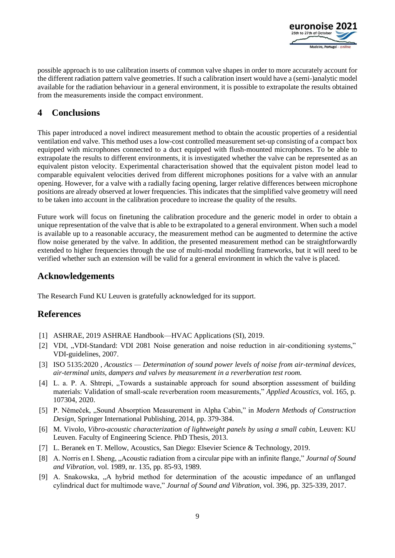

possible approach is to use calibration inserts of common valve shapes in order to more accurately account for the different radiation pattern valve geometries. If such a calibration insert would have a (semi-)analytic model available for the radiation behaviour in a general environment, it is possible to extrapolate the results obtained from the measurements inside the compact environment.

# **4 Conclusions**

This paper introduced a novel indirect measurement method to obtain the acoustic properties of a residential ventilation end valve. This method uses a low-cost controlled measurement set-up consisting of a compact box equipped with microphones connected to a duct equipped with flush-mounted microphones. To be able to extrapolate the results to different environments, it is investigated whether the valve can be represented as an equivalent piston velocity. Experimental characterisation showed that the equivalent piston model lead to comparable equivalent velocities derived from different microphones positions for a valve with an annular opening. However, for a valve with a radially facing opening, larger relative differences between microphone positions are already observed at lower frequencies. This indicates that the simplified valve geometry will need to be taken into account in the calibration procedure to increase the quality of the results.

Future work will focus on finetuning the calibration procedure and the generic model in order to obtain a unique representation of the valve that is able to be extrapolated to a general environment. When such a model is available up to a reasonable accuracy, the measurement method can be augmented to determine the active flow noise generated by the valve. In addition, the presented measurement method can be straightforwardly extended to higher frequencies through the use of multi-modal modelling frameworks, but it will need to be verified whether such an extension will be valid for a general environment in which the valve is placed.

# **Acknowledgements**

The Research Fund KU Leuven is gratefully acknowledged for its support.

# **References**

- [1] ASHRAE, 2019 ASHRAE Handbook—HVAC Applications (SI), 2019.
- [2] VDI, "VDI-Standard: VDI 2081 Noise generation and noise reduction in air-conditioning systems," VDI-guidelines, 2007.
- [3] ISO 5135:2020 , *Acoustics — Determination of sound power levels of noise from air-terminal devices, air-terminal units, dampers and valves by measurement in a reverberation test room.*
- [4] L. a. P. A. Shtrepi, "Towards a sustainable approach for sound absorption assessment of building materials: Validation of small-scale reverberation room measurements," *Applied Acoustics,* vol. 165, p. 107304, 2020.
- [5] P. Němeček, "Sound Absorption Measurement in Alpha Cabin," in *Modern Methods of Construction Design*, Springer International Publishing, 2014, pp. 379-384.
- [6] M. Vivolo, *Vibro-acoustic characterization of lightweight panels by using a small cabin, Leuven: KU* Leuven. Faculty of Engineering Science. PhD Thesis, 2013.
- [7] L. Beranek en T. Mellow, Acoustics, San Diego: Elsevier Science & Technology, 2019.
- [8] A. Norris en I. Sheng, "Acoustic radiation from a circular pipe with an infinite flange," *Journal of Sound and Vibration,* vol. 1989, nr. 135, pp. 85-93, 1989.
- [9] A. Snakowska, "A hybrid method for determination of the acoustic impedance of an unflanged cylindrical duct for multimode wave," *Journal of Sound and Vibration,* vol. 396, pp. 325-339, 2017.